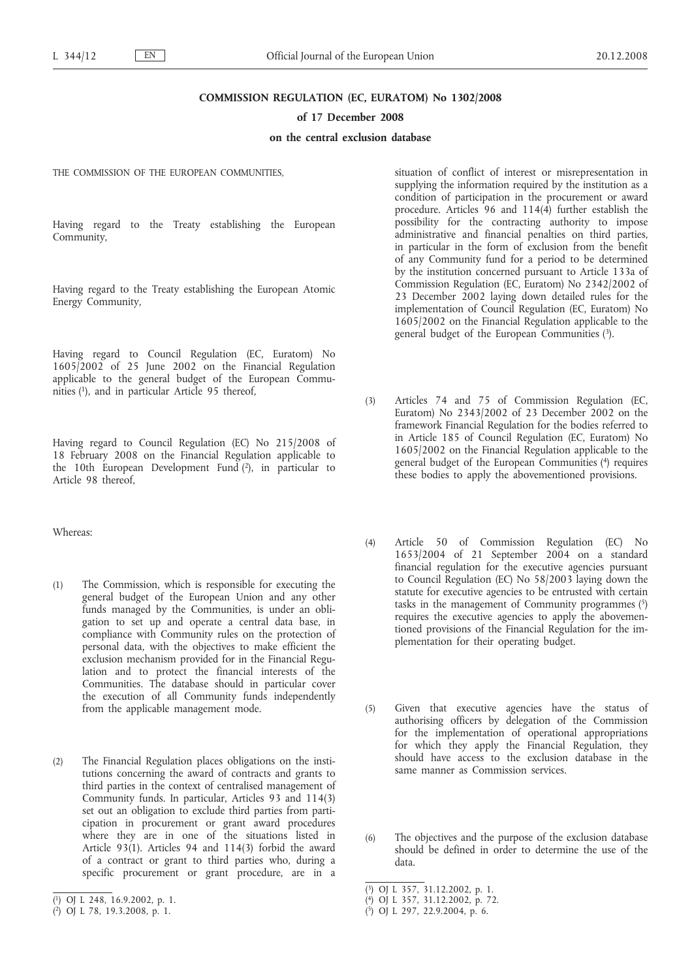### **COMMISSION REGULATION (EC, EURATOM) No 1302/2008**

#### **of 17 December 2008**

### **on the central exclusion database**

THE COMMISSION OF THE EUROPEAN COMMUNITIES,

Having regard to the Treaty establishing the European Community,

Having regard to the Treaty establishing the European Atomic Energy Community,

Having regard to Council Regulation (EC, Euratom) No 1605/2002 of 25 June 2002 on the Financial Regulation applicable to the general budget of the European Communities (1), and in particular Article 95 thereof,

Having regard to Council Regulation (EC) No 215/2008 of 18 February 2008 on the Financial Regulation applicable to the 10th European Development Fund  $(2)$ , in particular to Article 98 thereof,

Whereas:

- (1) The Commission, which is responsible for executing the general budget of the European Union and any other funds managed by the Communities, is under an obligation to set up and operate a central data base, in compliance with Community rules on the protection of personal data, with the objectives to make efficient the exclusion mechanism provided for in the Financial Regulation and to protect the financial interests of the Communities. The database should in particular cover the execution of all Community funds independently from the applicable management mode.
- (2) The Financial Regulation places obligations on the institutions concerning the award of contracts and grants to third parties in the context of centralised management of Community funds. In particular, Articles 93 and 114(3) set out an obligation to exclude third parties from participation in procurement or grant award procedures where they are in one of the situations listed in Article 93(1). Articles 94 and 114(3) forbid the award of a contract or grant to third parties who, during a specific procurement or grant procedure, are in a

situation of conflict of interest or misrepresentation in supplying the information required by the institution as a condition of participation in the procurement or award procedure. Articles 96 and 114(4) further establish the possibility for the contracting authority to impose administrative and financial penalties on third parties, in particular in the form of exclusion from the benefit of any Community fund for a period to be determined by the institution concerned pursuant to Article 133a of Commission Regulation (EC, Euratom) No 2342/2002 of 23 December 2002 laying down detailed rules for the implementation of Council Regulation (EC, Euratom) No 1605/2002 on the Financial Regulation applicable to the general budget of the European Communities (3).

- (3) Articles 74 and 75 of Commission Regulation (EC, Euratom) No 2343/2002 of 23 December 2002 on the framework Financial Regulation for the bodies referred to in Article 185 of Council Regulation (EC, Euratom) No 1605/2002 on the Financial Regulation applicable to the general budget of the European Communities (4) requires these bodies to apply the abovementioned provisions.
- (4) Article 50 of Commission Regulation (EC) No 1653/2004 of 21 September 2004 on a standard financial regulation for the executive agencies pursuant to Council Regulation (EC) No 58/2003 laying down the statute for executive agencies to be entrusted with certain tasks in the management of Community programmes (5) requires the executive agencies to apply the abovementioned provisions of the Financial Regulation for the implementation for their operating budget.
- (5) Given that executive agencies have the status of authorising officers by delegation of the Commission for the implementation of operational appropriations for which they apply the Financial Regulation, they should have access to the exclusion database in the same manner as Commission services.
- (6) The objectives and the purpose of the exclusion database should be defined in order to determine the use of the data.

<sup>(</sup> 1) OJ L 248, 16.9.2002, p. 1.

<sup>(</sup> 2) OJ L 78, 19.3.2008, p. 1.

<sup>(</sup> 3) OJ L 357, 31.12.2002, p. 1.

<sup>(</sup> 4) OJ L 357, 31.12.2002, p. 72.

<sup>(</sup> 5) OJ L 297, 22.9.2004, p. 6.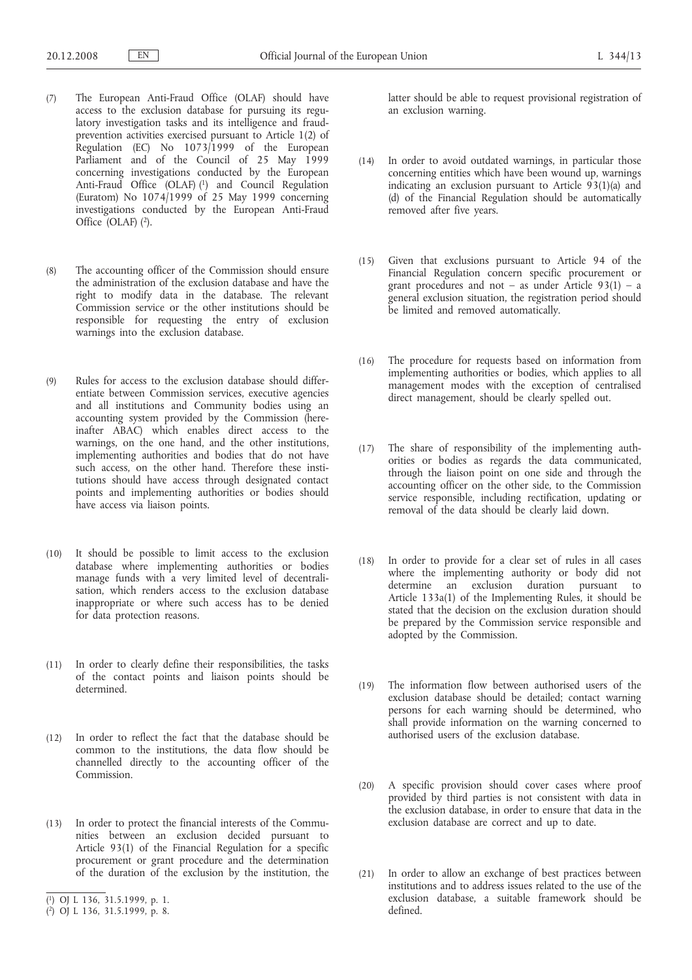- (7) The European Anti-Fraud Office (OLAF) should have access to the exclusion database for pursuing its regulatory investigation tasks and its intelligence and fraudprevention activities exercised pursuant to Article 1(2) of Regulation (EC) No 1073/1999 of the European Parliament and of the Council of 25 May 1999 concerning investigations conducted by the European Anti-Fraud Office (OLAF) (1) and Council Regulation (Euratom) No 1074/1999 of 25 May 1999 concerning investigations conducted by the European Anti-Fraud Office (OLAF)  $(2)$ .
- (8) The accounting officer of the Commission should ensure the administration of the exclusion database and have the right to modify data in the database. The relevant Commission service or the other institutions should be responsible for requesting the entry of exclusion warnings into the exclusion database.
- (9) Rules for access to the exclusion database should differentiate between Commission services, executive agencies and all institutions and Community bodies using an accounting system provided by the Commission (hereinafter ABAC) which enables direct access to the warnings, on the one hand, and the other institutions, implementing authorities and bodies that do not have such access, on the other hand. Therefore these institutions should have access through designated contact points and implementing authorities or bodies should have access via liaison points.
- (10) It should be possible to limit access to the exclusion database where implementing authorities or bodies manage funds with a very limited level of decentralisation, which renders access to the exclusion database inappropriate or where such access has to be denied for data protection reasons.
- (11) In order to clearly define their responsibilities, the tasks of the contact points and liaison points should be determined.
- (12) In order to reflect the fact that the database should be common to the institutions, the data flow should be channelled directly to the accounting officer of the Commission.
- (13) In order to protect the financial interests of the Communities between an exclusion decided pursuant to Article 93(1) of the Financial Regulation for a specific procurement or grant procedure and the determination of the duration of the exclusion by the institution, the

latter should be able to request provisional registration of an exclusion warning.

- (14) In order to avoid outdated warnings, in particular those concerning entities which have been wound up, warnings indicating an exclusion pursuant to Article 93(1)(a) and (d) of the Financial Regulation should be automatically removed after five years.
- (15) Given that exclusions pursuant to Article 94 of the Financial Regulation concern specific procurement or grant procedures and not – as under Article  $93(1)$  – a general exclusion situation, the registration period should be limited and removed automatically.
- (16) The procedure for requests based on information from implementing authorities or bodies, which applies to all management modes with the exception of centralised direct management, should be clearly spelled out.
- (17) The share of responsibility of the implementing authorities or bodies as regards the data communicated, through the liaison point on one side and through the accounting officer on the other side, to the Commission service responsible, including rectification, updating or removal of the data should be clearly laid down.
- (18) In order to provide for a clear set of rules in all cases where the implementing authority or body did not determine an exclusion duration pursuant to Article 133a(1) of the Implementing Rules, it should be stated that the decision on the exclusion duration should be prepared by the Commission service responsible and adopted by the Commission.
- (19) The information flow between authorised users of the exclusion database should be detailed; contact warning persons for each warning should be determined, who shall provide information on the warning concerned to authorised users of the exclusion database.
- (20) A specific provision should cover cases where proof provided by third parties is not consistent with data in the exclusion database, in order to ensure that data in the exclusion database are correct and up to date.
- (21) In order to allow an exchange of best practices between institutions and to address issues related to the use of the exclusion database, a suitable framework should be defined.

<sup>(</sup> 1) OJ L 136, 31.5.1999, p. 1.

<sup>(</sup> 2) OJ L 136, 31.5.1999, p. 8.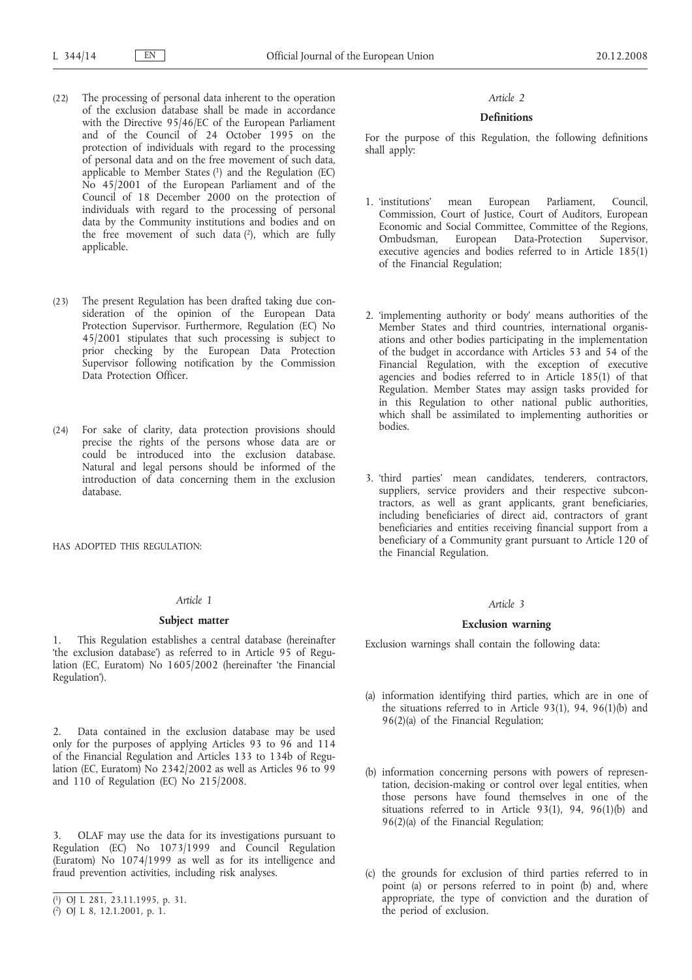- (22) The processing of personal data inherent to the operation of the exclusion database shall be made in accordance with the Directive 95/46/EC of the European Parliament and of the Council of 24 October 1995 on the protection of individuals with regard to the processing of personal data and on the free movement of such data, applicable to Member States  $(1)$  and the Regulation  $(EC)$ No 45/2001 of the European Parliament and of the Council of 18 December 2000 on the protection of individuals with regard to the processing of personal data by the Community institutions and bodies and on the free movement of such data  $(2)$ , which are fully applicable.
- (23) The present Regulation has been drafted taking due consideration of the opinion of the European Data Protection Supervisor. Furthermore, Regulation (EC) No 45/2001 stipulates that such processing is subject to prior checking by the European Data Protection Supervisor following notification by the Commission Data Protection Officer.
- (24) For sake of clarity, data protection provisions should precise the rights of the persons whose data are or could be introduced into the exclusion database. Natural and legal persons should be informed of the introduction of data concerning them in the exclusion database.

HAS ADOPTED THIS REGULATION:

#### *Article 1*

#### **Subject matter**

1. This Regulation establishes a central database (hereinafter 'the exclusion database') as referred to in Article 95 of Regulation (EC, Euratom) No 1605/2002 (hereinafter 'the Financial Regulation').

2. Data contained in the exclusion database may be used only for the purposes of applying Articles 93 to 96 and 114 of the Financial Regulation and Articles 133 to 134b of Regulation (EC, Euratom) No 2342/2002 as well as Articles 96 to 99 and 110 of Regulation (EC) No 215/2008.

3. OLAF may use the data for its investigations pursuant to Regulation (EC) No 1073/1999 and Council Regulation (Euratom) No  $1074/1999$  as well as for its intelligence and fraud prevention activities, including risk analyses.

## *Article 2*

## **Definitions**

For the purpose of this Regulation, the following definitions shall apply:

- 1. 'institutions' mean European Parliament, Council, Commission, Court of Justice, Court of Auditors, European Economic and Social Committee, Committee of the Regions, Ombudsman, European Data-Protection Supervisor, executive agencies and bodies referred to in Article 185(1) of the Financial Regulation;
- 2. 'implementing authority or body' means authorities of the Member States and third countries, international organisations and other bodies participating in the implementation of the budget in accordance with Articles 53 and 54 of the Financial Regulation, with the exception of executive agencies and bodies referred to in Article 185(1) of that Regulation. Member States may assign tasks provided for in this Regulation to other national public authorities, which shall be assimilated to implementing authorities or bodies.
- 3. 'third parties' mean candidates, tenderers, contractors, suppliers, service providers and their respective subcontractors, as well as grant applicants, grant beneficiaries, including beneficiaries of direct aid, contractors of grant beneficiaries and entities receiving financial support from a beneficiary of a Community grant pursuant to Article 120 of the Financial Regulation.

# *Article 3*

### **Exclusion warning**

Exclusion warnings shall contain the following data:

- (a) information identifying third parties, which are in one of the situations referred to in Article 93(1), 94, 96(1)(b) and 96(2)(a) of the Financial Regulation;
- (b) information concerning persons with powers of representation, decision-making or control over legal entities, when those persons have found themselves in one of the situations referred to in Article 93(1), 94, 96(1)(b) and 96(2)(a) of the Financial Regulation;
- (c) the grounds for exclusion of third parties referred to in point (a) or persons referred to in point (b) and, where appropriate, the type of conviction and the duration of the period of exclusion.

<sup>(</sup> 1) OJ L 281, 23.11.1995, p. 31.

<sup>(</sup> 2) OJ L 8, 12.1.2001, p. 1.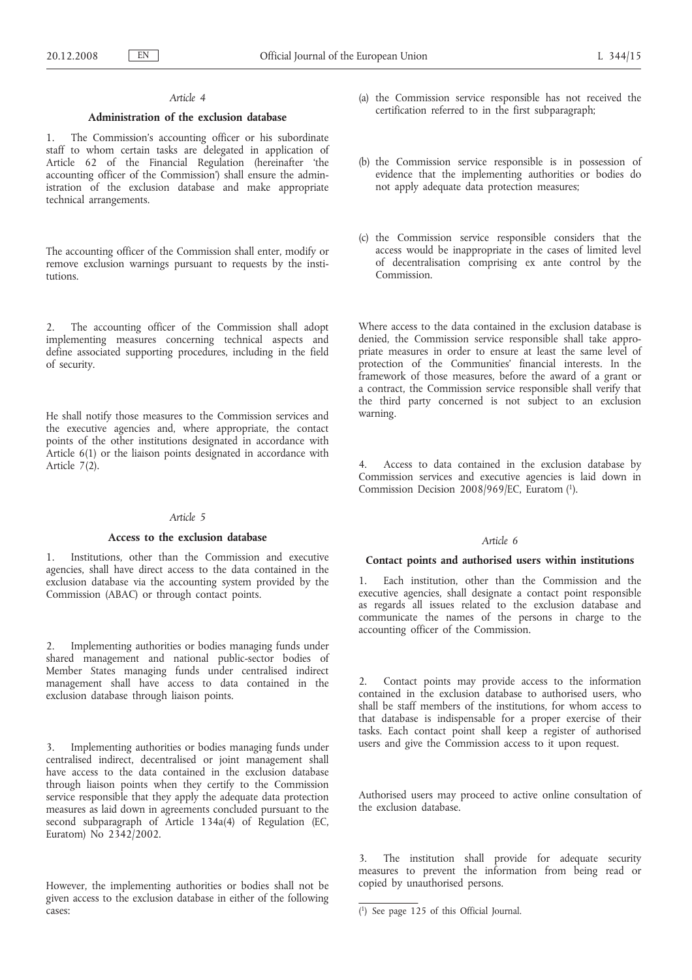# *Article 4*

### **Administration of the exclusion database**

1. The Commission's accounting officer or his subordinate staff to whom certain tasks are delegated in application of Article 62 of the Financial Regulation (hereinafter 'the accounting officer of the Commission') shall ensure the administration of the exclusion database and make appropriate technical arrangements.

The accounting officer of the Commission shall enter, modify or remove exclusion warnings pursuant to requests by the institutions.

2. The accounting officer of the Commission shall adopt implementing measures concerning technical aspects and define associated supporting procedures, including in the field of security.

He shall notify those measures to the Commission services and the executive agencies and, where appropriate, the contact points of the other institutions designated in accordance with Article 6(1) or the liaison points designated in accordance with Article 7(2).

### *Article 5*

#### **Access to the exclusion database**

1. Institutions, other than the Commission and executive agencies, shall have direct access to the data contained in the exclusion database via the accounting system provided by the Commission (ABAC) or through contact points.

2. Implementing authorities or bodies managing funds under shared management and national public-sector bodies of Member States managing funds under centralised indirect management shall have access to data contained in the exclusion database through liaison points.

3. Implementing authorities or bodies managing funds under centralised indirect, decentralised or joint management shall have access to the data contained in the exclusion database through liaison points when they certify to the Commission service responsible that they apply the adequate data protection measures as laid down in agreements concluded pursuant to the second subparagraph of Article 134a(4) of Regulation (EC, Euratom) No 2342/2002.

However, the implementing authorities or bodies shall not be given access to the exclusion database in either of the following cases:

- (a) the Commission service responsible has not received the certification referred to in the first subparagraph;
- (b) the Commission service responsible is in possession of evidence that the implementing authorities or bodies do not apply adequate data protection measures;
- (c) the Commission service responsible considers that the access would be inappropriate in the cases of limited level of decentralisation comprising ex ante control by the Commission.

Where access to the data contained in the exclusion database is denied, the Commission service responsible shall take appropriate measures in order to ensure at least the same level of protection of the Communities' financial interests. In the framework of those measures, before the award of a grant or a contract, the Commission service responsible shall verify that the third party concerned is not subject to an exclusion warning.

4. Access to data contained in the exclusion database by Commission services and executive agencies is laid down in Commission Decision 2008/969/EC, Euratom (1).

## *Article 6*

#### **Contact points and authorised users within institutions**

1. Each institution, other than the Commission and the executive agencies, shall designate a contact point responsible as regards all issues related to the exclusion database and communicate the names of the persons in charge to the accounting officer of the Commission.

2. Contact points may provide access to the information contained in the exclusion database to authorised users, who shall be staff members of the institutions, for whom access to that database is indispensable for a proper exercise of their tasks. Each contact point shall keep a register of authorised users and give the Commission access to it upon request.

Authorised users may proceed to active online consultation of the exclusion database.

3. The institution shall provide for adequate security measures to prevent the information from being read or copied by unauthorised persons.

<sup>(</sup> 1) See page 125 of this Official Journal.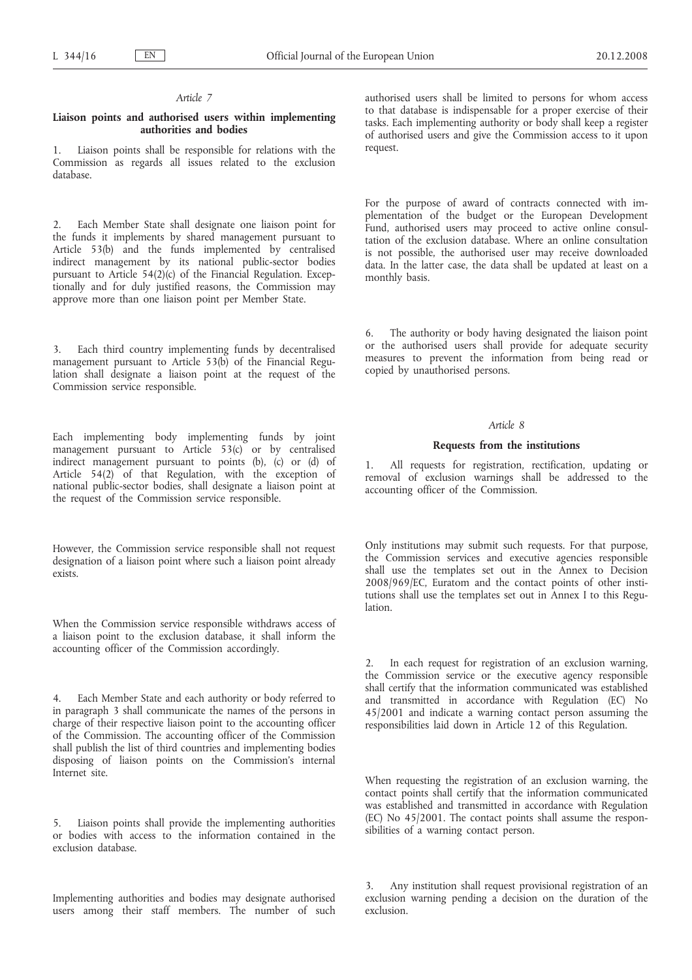### *Article 7*

### **Liaison points and authorised users within implementing authorities and bodies**

1. Liaison points shall be responsible for relations with the Commission as regards all issues related to the exclusion database.

2. Each Member State shall designate one liaison point for the funds it implements by shared management pursuant to Article 53(b) and the funds implemented by centralised indirect management by its national public-sector bodies pursuant to Article 54(2)(c) of the Financial Regulation. Exceptionally and for duly justified reasons, the Commission may approve more than one liaison point per Member State.

3. Each third country implementing funds by decentralised management pursuant to Article 53(b) of the Financial Regulation shall designate a liaison point at the request of the Commission service responsible.

Each implementing body implementing funds by joint management pursuant to Article 53(c) or by centralised indirect management pursuant to points (b), (c) or (d) of Article 54(2) of that Regulation, with the exception of national public-sector bodies, shall designate a liaison point at the request of the Commission service responsible.

However, the Commission service responsible shall not request designation of a liaison point where such a liaison point already exists.

When the Commission service responsible withdraws access of a liaison point to the exclusion database, it shall inform the accounting officer of the Commission accordingly.

4. Each Member State and each authority or body referred to in paragraph 3 shall communicate the names of the persons in charge of their respective liaison point to the accounting officer of the Commission. The accounting officer of the Commission shall publish the list of third countries and implementing bodies disposing of liaison points on the Commission's internal Internet site.

5. Liaison points shall provide the implementing authorities or bodies with access to the information contained in the exclusion database.

Implementing authorities and bodies may designate authorised users among their staff members. The number of such authorised users shall be limited to persons for whom access to that database is indispensable for a proper exercise of their tasks. Each implementing authority or body shall keep a register of authorised users and give the Commission access to it upon request.

For the purpose of award of contracts connected with implementation of the budget or the European Development Fund, authorised users may proceed to active online consultation of the exclusion database. Where an online consultation is not possible, the authorised user may receive downloaded data. In the latter case, the data shall be updated at least on a monthly basis.

6. The authority or body having designated the liaison point or the authorised users shall provide for adequate security measures to prevent the information from being read or copied by unauthorised persons.

### *Article 8*

### **Requests from the institutions**

1. All requests for registration, rectification, updating or removal of exclusion warnings shall be addressed to the accounting officer of the Commission.

Only institutions may submit such requests. For that purpose, the Commission services and executive agencies responsible shall use the templates set out in the Annex to Decision 2008/969/EC, Euratom and the contact points of other institutions shall use the templates set out in Annex I to this Regulation.

2. In each request for registration of an exclusion warning, the Commission service or the executive agency responsible shall certify that the information communicated was established and transmitted in accordance with Regulation (EC) No 45/2001 and indicate a warning contact person assuming the responsibilities laid down in Article 12 of this Regulation.

When requesting the registration of an exclusion warning, the contact points shall certify that the information communicated was established and transmitted in accordance with Regulation (EC) No 45/2001. The contact points shall assume the responsibilities of a warning contact person.

3. Any institution shall request provisional registration of an exclusion warning pending a decision on the duration of the exclusion.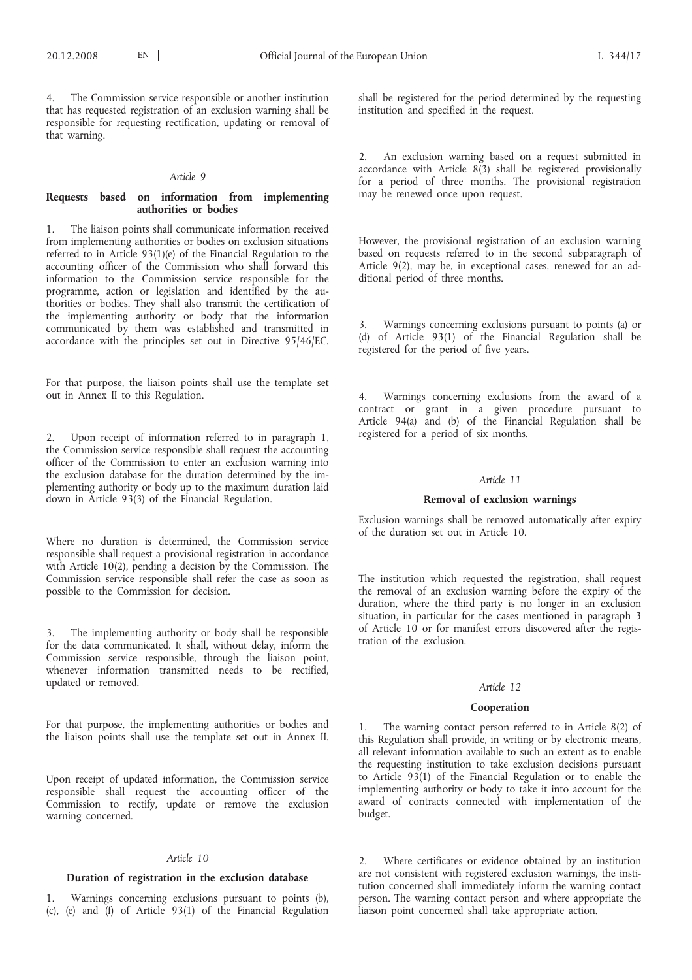The Commission service responsible or another institution that has requested registration of an exclusion warning shall be responsible for requesting rectification, updating or removal of that warning.

#### *Article 9*

## **Requests based on information from implementing authorities or bodies**

1. The liaison points shall communicate information received from implementing authorities or bodies on exclusion situations referred to in Article  $93(1)(e)$  of the Financial Regulation to the accounting officer of the Commission who shall forward this information to the Commission service responsible for the programme, action or legislation and identified by the authorities or bodies. They shall also transmit the certification of the implementing authority or body that the information communicated by them was established and transmitted in accordance with the principles set out in Directive 95/46/EC.

For that purpose, the liaison points shall use the template set out in Annex II to this Regulation.

2. Upon receipt of information referred to in paragraph 1, the Commission service responsible shall request the accounting officer of the Commission to enter an exclusion warning into the exclusion database for the duration determined by the implementing authority or body up to the maximum duration laid down in Article 93(3) of the Financial Regulation.

Where no duration is determined, the Commission service responsible shall request a provisional registration in accordance with Article 10(2), pending a decision by the Commission. The Commission service responsible shall refer the case as soon as possible to the Commission for decision.

The implementing authority or body shall be responsible for the data communicated. It shall, without delay, inform the Commission service responsible, through the liaison point, whenever information transmitted needs to be rectified, updated or removed.

For that purpose, the implementing authorities or bodies and the liaison points shall use the template set out in Annex II.

Upon receipt of updated information, the Commission service responsible shall request the accounting officer of the Commission to rectify, update or remove the exclusion warning concerned.

#### *Article 10*

### **Duration of registration in the exclusion database**

1. Warnings concerning exclusions pursuant to points (b), (c), (e) and (f) of Article 93(1) of the Financial Regulation shall be registered for the period determined by the requesting institution and specified in the request.

2. An exclusion warning based on a request submitted in accordance with Article 8(3) shall be registered provisionally for a period of three months. The provisional registration may be renewed once upon request.

However, the provisional registration of an exclusion warning based on requests referred to in the second subparagraph of Article 9(2), may be, in exceptional cases, renewed for an additional period of three months.

3. Warnings concerning exclusions pursuant to points (a) or (d) of Article 93(1) of the Financial Regulation shall be registered for the period of five years.

4. Warnings concerning exclusions from the award of a contract or grant in a given procedure pursuant to Article 94(a) and (b) of the Financial Regulation shall be registered for a period of six months.

### *Article 11*

### **Removal of exclusion warnings**

Exclusion warnings shall be removed automatically after expiry of the duration set out in Article 10.

The institution which requested the registration, shall request the removal of an exclusion warning before the expiry of the duration, where the third party is no longer in an exclusion situation, in particular for the cases mentioned in paragraph 3 of Article 10 or for manifest errors discovered after the registration of the exclusion.

# *Article 12*

#### **Cooperation**

1. The warning contact person referred to in Article 8(2) of this Regulation shall provide, in writing or by electronic means, all relevant information available to such an extent as to enable the requesting institution to take exclusion decisions pursuant to Article 93(1) of the Financial Regulation or to enable the implementing authority or body to take it into account for the award of contracts connected with implementation of the budget.

2. Where certificates or evidence obtained by an institution are not consistent with registered exclusion warnings, the institution concerned shall immediately inform the warning contact person. The warning contact person and where appropriate the liaison point concerned shall take appropriate action.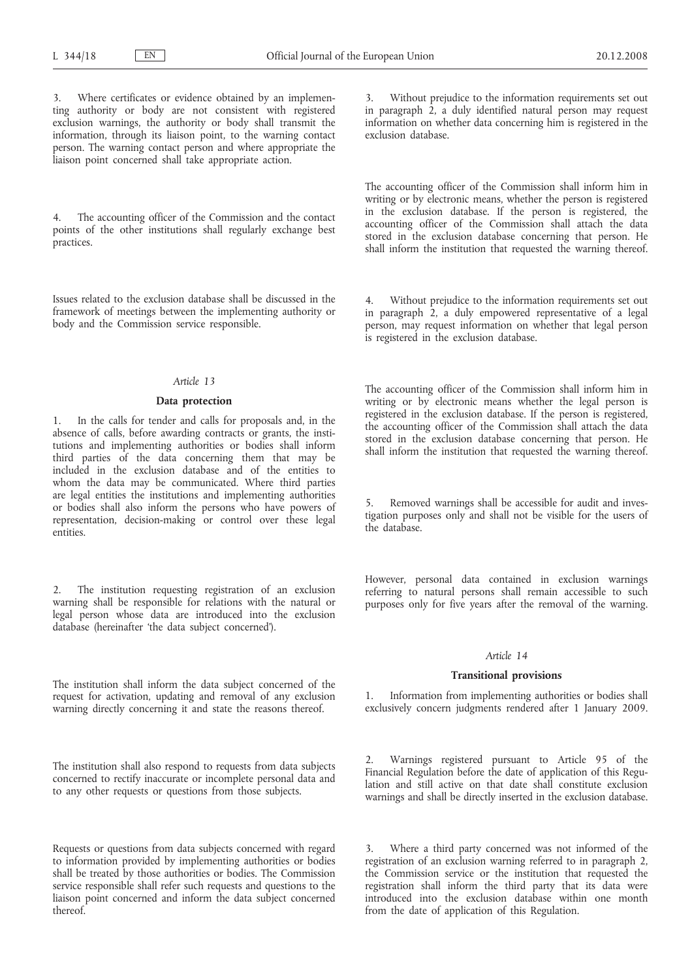Where certificates or evidence obtained by an implementing authority or body are not consistent with registered exclusion warnings, the authority or body shall transmit the information, through its liaison point, to the warning contact person. The warning contact person and where appropriate the liaison point concerned shall take appropriate action.

4. The accounting officer of the Commission and the contact points of the other institutions shall regularly exchange best practices.

Issues related to the exclusion database shall be discussed in the framework of meetings between the implementing authority or body and the Commission service responsible.

### *Article 13*

#### **Data protection**

In the calls for tender and calls for proposals and, in the absence of calls, before awarding contracts or grants, the institutions and implementing authorities or bodies shall inform third parties of the data concerning them that may be included in the exclusion database and of the entities to whom the data may be communicated. Where third parties are legal entities the institutions and implementing authorities or bodies shall also inform the persons who have powers of representation, decision-making or control over these legal entities.

2. The institution requesting registration of an exclusion warning shall be responsible for relations with the natural or legal person whose data are introduced into the exclusion database (hereinafter 'the data subject concerned').

The institution shall inform the data subject concerned of the request for activation, updating and removal of any exclusion warning directly concerning it and state the reasons thereof.

The institution shall also respond to requests from data subjects concerned to rectify inaccurate or incomplete personal data and to any other requests or questions from those subjects.

Requests or questions from data subjects concerned with regard to information provided by implementing authorities or bodies shall be treated by those authorities or bodies. The Commission service responsible shall refer such requests and questions to the liaison point concerned and inform the data subject concerned thereof.

Without prejudice to the information requirements set out in paragraph 2, a duly identified natural person may request information on whether data concerning him is registered in the exclusion database.

The accounting officer of the Commission shall inform him in writing or by electronic means, whether the person is registered in the exclusion database. If the person is registered, the accounting officer of the Commission shall attach the data stored in the exclusion database concerning that person. He shall inform the institution that requested the warning thereof.

4. Without prejudice to the information requirements set out in paragraph 2, a duly empowered representative of a legal person, may request information on whether that legal person is registered in the exclusion database.

The accounting officer of the Commission shall inform him in writing or by electronic means whether the legal person is registered in the exclusion database. If the person is registered, the accounting officer of the Commission shall attach the data stored in the exclusion database concerning that person. He shall inform the institution that requested the warning thereof.

Removed warnings shall be accessible for audit and investigation purposes only and shall not be visible for the users of the database.

However, personal data contained in exclusion warnings referring to natural persons shall remain accessible to such purposes only for five years after the removal of the warning.

### *Article 14*

#### **Transitional provisions**

1. Information from implementing authorities or bodies shall exclusively concern judgments rendered after 1 January 2009.

2. Warnings registered pursuant to Article 95 of the Financial Regulation before the date of application of this Regulation and still active on that date shall constitute exclusion warnings and shall be directly inserted in the exclusion database.

Where a third party concerned was not informed of the registration of an exclusion warning referred to in paragraph 2, the Commission service or the institution that requested the registration shall inform the third party that its data were introduced into the exclusion database within one month from the date of application of this Regulation.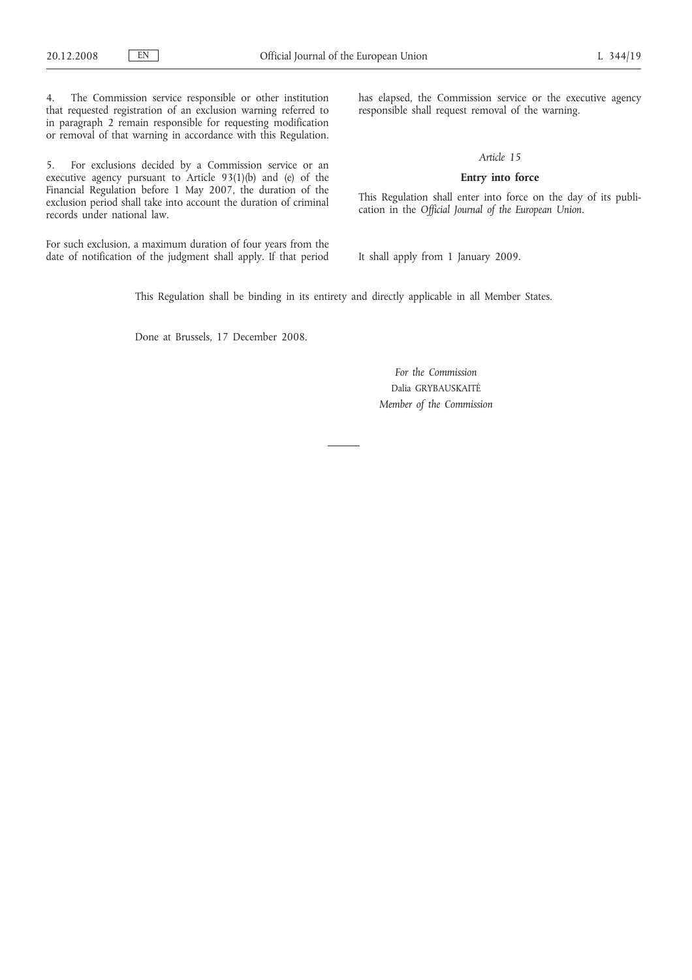4. The Commission service responsible or other institution that requested registration of an exclusion warning referred to in paragraph 2 remain responsible for requesting modification or removal of that warning in accordance with this Regulation.

5. For exclusions decided by a Commission service or an executive agency pursuant to Article 93(1)(b) and (e) of the Financial Regulation before 1 May 2007, the duration of the exclusion period shall take into account the duration of criminal records under national law.

For such exclusion, a maximum duration of four years from the date of notification of the judgment shall apply. If that period has elapsed, the Commission service or the executive agency responsible shall request removal of the warning.

### *Article 15*

# **Entry into force**

This Regulation shall enter into force on the day of its publication in the *Official Journal of the European Union*.

It shall apply from 1 January 2009.

This Regulation shall be binding in its entirety and directly applicable in all Member States.

Done at Brussels, 17 December 2008.

*For the Commission* Dalia GRYBAUSKAITĖ *Member of the Commission*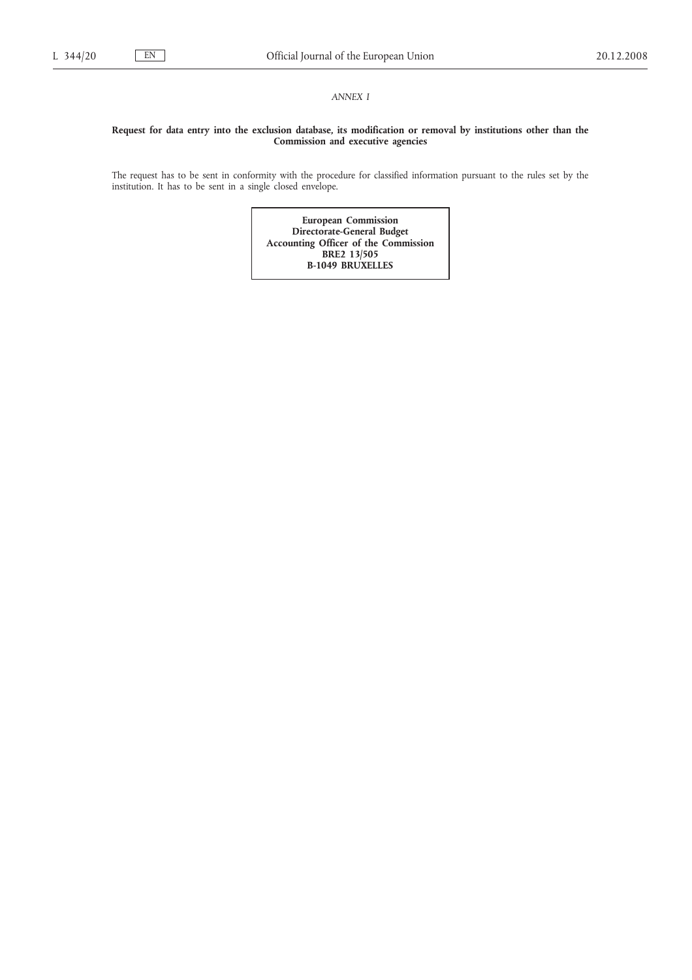## *ANNEX I*

### **Request for data entry into the exclusion database, its modification or removal by institutions other than the Commission and executive agencies**

The request has to be sent in conformity with the procedure for classified information pursuant to the rules set by the institution. It has to be sent in a single closed envelope.

> **European Commission Directorate-General Budget Accounting Officer of the Commission BRE2 13/505 B-1049 BRUXELLES**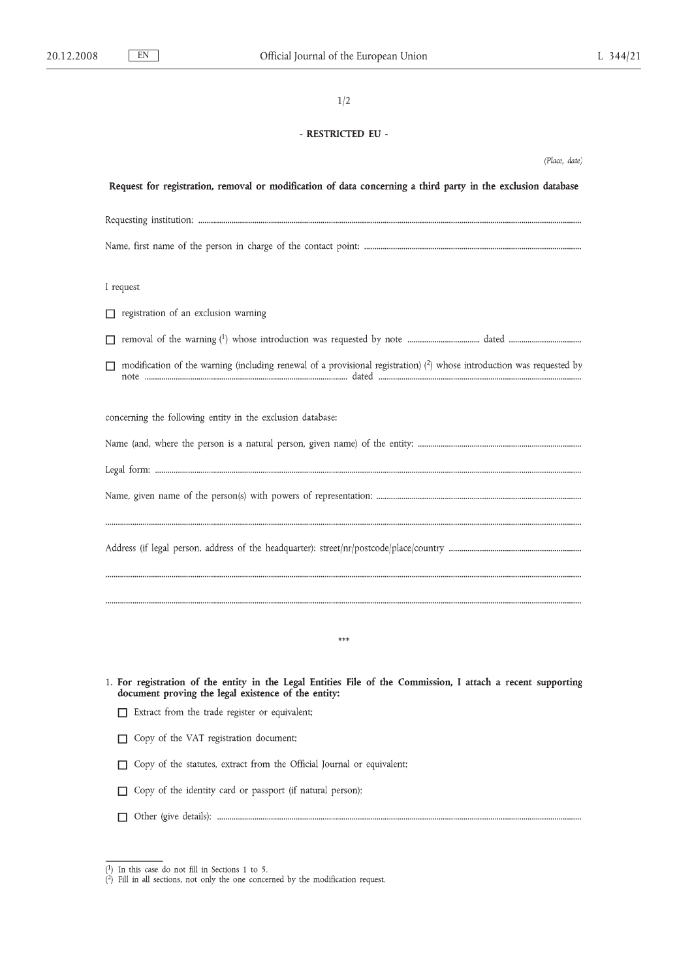# - RESTRICTED EU -

| (Place, date)                                                                                                                                                       |  |  |  |  |  |
|---------------------------------------------------------------------------------------------------------------------------------------------------------------------|--|--|--|--|--|
| Request for registration, removal or modification of data concerning a third party in the exclusion database                                                        |  |  |  |  |  |
|                                                                                                                                                                     |  |  |  |  |  |
|                                                                                                                                                                     |  |  |  |  |  |
| I request                                                                                                                                                           |  |  |  |  |  |
| registration of an exclusion warning<br>П.                                                                                                                          |  |  |  |  |  |
| П                                                                                                                                                                   |  |  |  |  |  |
| modification of the warning (including renewal of a provisional registration) $(2)$ whose introduction was requested by<br>П                                        |  |  |  |  |  |
| concerning the following entity in the exclusion database:                                                                                                          |  |  |  |  |  |
|                                                                                                                                                                     |  |  |  |  |  |
|                                                                                                                                                                     |  |  |  |  |  |
|                                                                                                                                                                     |  |  |  |  |  |
|                                                                                                                                                                     |  |  |  |  |  |
|                                                                                                                                                                     |  |  |  |  |  |
|                                                                                                                                                                     |  |  |  |  |  |
| $***$                                                                                                                                                               |  |  |  |  |  |
| 1. For registration of the entity in the Legal Entities File of the Commission, I attach a recent supporting<br>document proving the legal existence of the entity: |  |  |  |  |  |
| Extract from the trade register or equivalent;<br>П                                                                                                                 |  |  |  |  |  |
| Copy of the VAT registration document;                                                                                                                              |  |  |  |  |  |
| Copy of the statutes, extract from the Official Journal or equivalent;<br>П                                                                                         |  |  |  |  |  |
| Copy of the identity card or passport (if natural person);<br>П                                                                                                     |  |  |  |  |  |
|                                                                                                                                                                     |  |  |  |  |  |

<sup>(1)</sup> In this case do not fill in Sections 1 to 5.<br>(2) Fill in all sections, not only the one concerned by the modification request.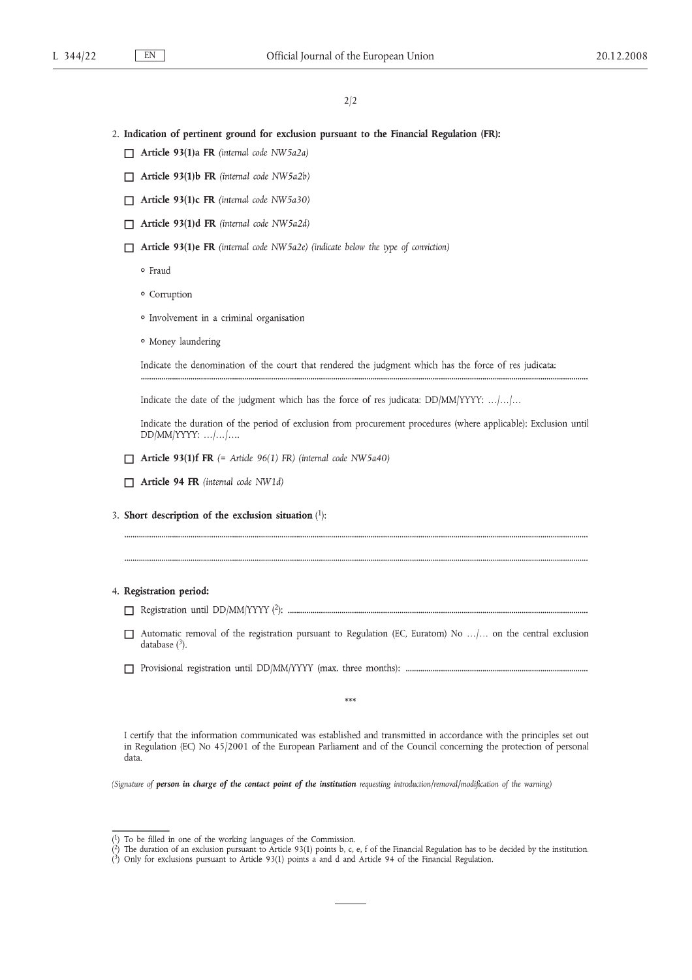## 2. Indication of pertinent ground for exclusion pursuant to the Financial Regulation (FR):

- $\Box$  Article 93(1)a FR (internal code NW5a2a)
- $\Box$  Article 93(1)b FR (internal code NW5a2b)
- $\Box$  Article 93(1)c FR (internal code NW5a30)
- Article 93(1)d FR (internal code NW5a2d)
- $\Box$  Article 93(1)e FR (internal code NW5a2e) (indicate below the type of conviction)

· Fraud

- · Corruption
- · Involvement in a criminal organisation
- · Money laundering

Indicate the denomination of the court that rendered the judgment which has the force of res judicata:

Indicate the date of the judgment which has the force of res judicata: DD/MM/YYYY: .../.../...

Indicate the duration of the period of exclusion from procurement procedures (where applicable): Exclusion until  $DD/MM/YYYY:$  ... $|...|...$ 

- **T** Article 93(1)f FR  $(=$  Article 96(1) FR) (internal code NW5a40)
- Article 94 FR (internal code NW1d)
- 3. Short description of the exclusion situation  $(1)$ :

### 4. Registration period:

- 
- $\Box$  Automatic removal of the registration pursuant to Regulation (EC, Euratom) No ...... on the central exclusion database  $(3)$ .
- 

 $***$ 

I certify that the information communicated was established and transmitted in accordance with the principles set out in Regulation (EC) No 45/2001 of the European Parliament and of the Council concerning the protection of personal data.

(Signature of person in charge of the contact point of the institution requesting introduction/removal/modification of the warning)

 $(1)$  To be filled in one of the working languages of the Commission.

The duration of an exclusion pursuant to Article 93(1) points b, c, e, f of the Financial Regulation has to be decided by the institution.

 $\binom{3}{2}$  Only for exclusions pursuant to Article 93(1) points a and d and Article 94 of the Financial Regulation.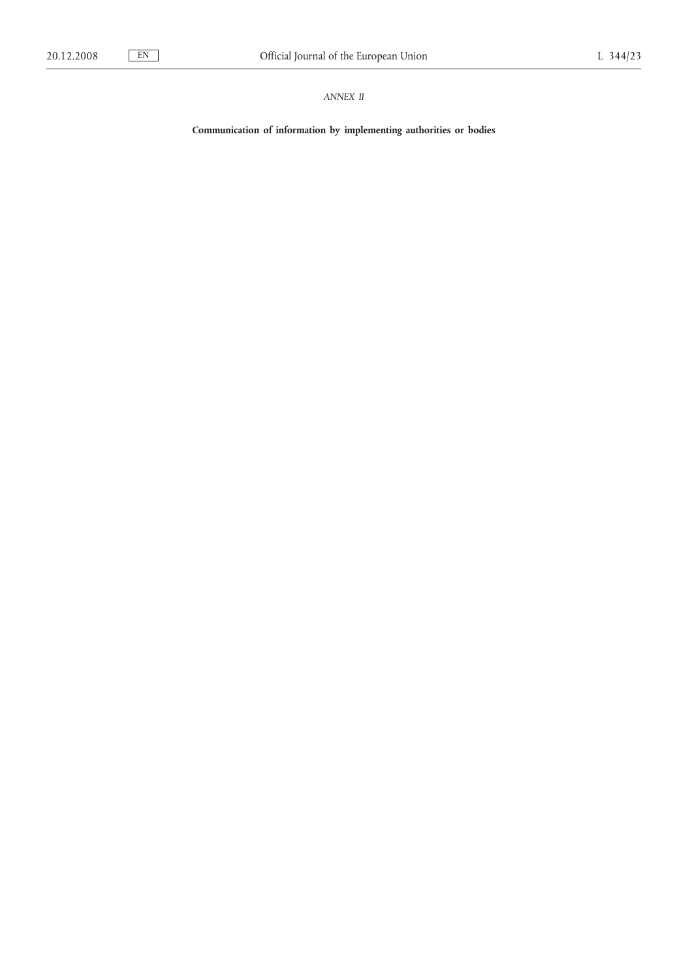# *ANNEX II*

**Communication of information by implementing authorities or bodies**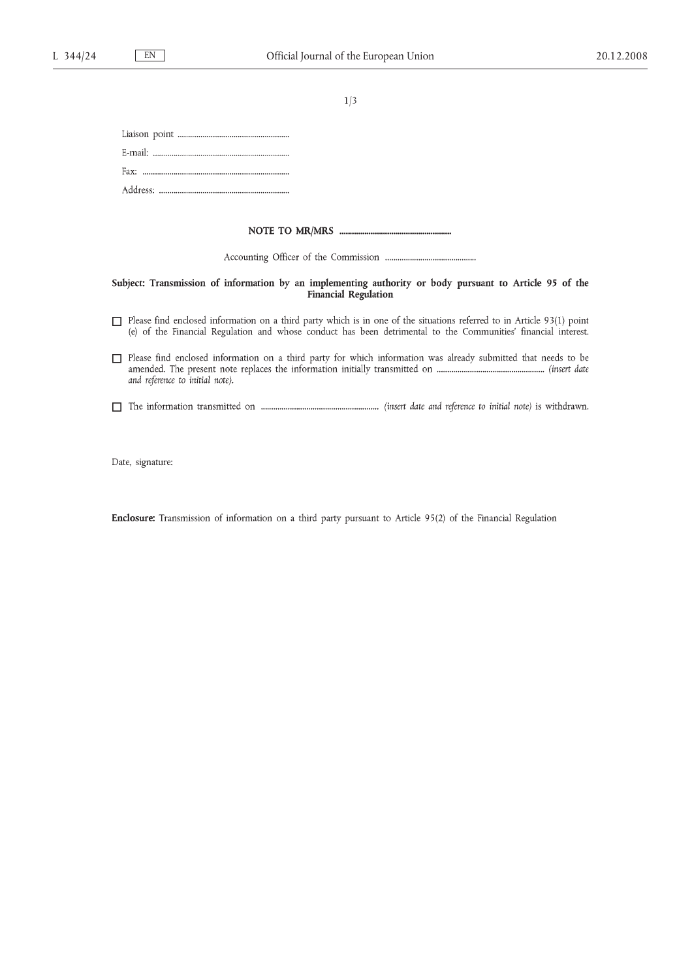#### 

#### Subject: Transmission of information by an implementing authority or body pursuant to Article 95 of the **Financial Regulation**

- $\Box$  Please find enclosed information on a third party which is in one of the situations referred to in Article 93(1) point (e) of the Financial Regulation and whose conduct has been detrimental to the Communities' financial interest.
- Please find enclosed information on a third party for which information was already submitted that needs to be and reference to initial note).
- 

Date, signature:

Enclosure: Transmission of information on a third party pursuant to Article 95(2) of the Financial Regulation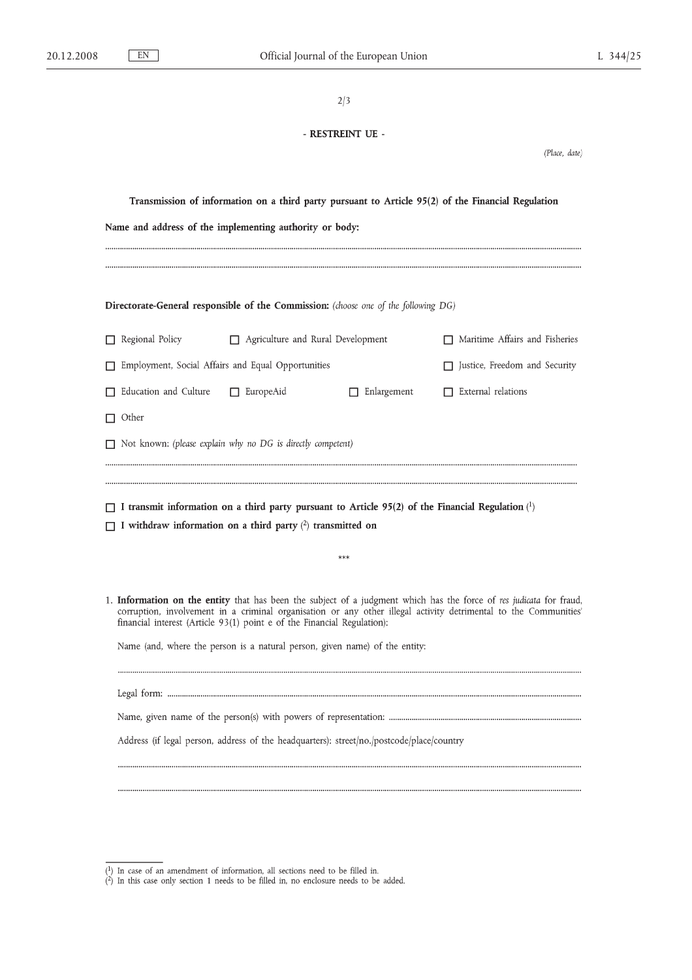| ٠<br>٧<br>۰.<br>۰,<br>۰, |
|--------------------------|
|--------------------------|

# - RESTREINT UE -

(Place, date)

| Transmission of information on a third party pursuant to Article 95(2) of the Financial Regulation |                                                                                                                                                                                                                                                                                                                   |                  |                                                                                     |                                                                                                                 |  |  |  |
|----------------------------------------------------------------------------------------------------|-------------------------------------------------------------------------------------------------------------------------------------------------------------------------------------------------------------------------------------------------------------------------------------------------------------------|------------------|-------------------------------------------------------------------------------------|-----------------------------------------------------------------------------------------------------------------|--|--|--|
| Name and address of the implementing authority or body:                                            |                                                                                                                                                                                                                                                                                                                   |                  |                                                                                     |                                                                                                                 |  |  |  |
|                                                                                                    |                                                                                                                                                                                                                                                                                                                   |                  |                                                                                     |                                                                                                                 |  |  |  |
|                                                                                                    |                                                                                                                                                                                                                                                                                                                   |                  |                                                                                     |                                                                                                                 |  |  |  |
|                                                                                                    |                                                                                                                                                                                                                                                                                                                   |                  | Directorate-General responsible of the Commission: (choose one of the following DG) |                                                                                                                 |  |  |  |
|                                                                                                    | Regional Policy<br>Agriculture and Rural Development                                                                                                                                                                                                                                                              |                  |                                                                                     | $\Box$ Maritime Affairs and Fisheries                                                                           |  |  |  |
|                                                                                                    | Employment, Social Affairs and Equal Opportunities                                                                                                                                                                                                                                                                |                  |                                                                                     | Justice, Freedom and Security                                                                                   |  |  |  |
|                                                                                                    | Education and Culture                                                                                                                                                                                                                                                                                             | $\Box$ EuropeAid | $\Box$ Enlargement                                                                  | $\Box$ External relations                                                                                       |  |  |  |
|                                                                                                    | $\Box$ Other                                                                                                                                                                                                                                                                                                      |                  |                                                                                     |                                                                                                                 |  |  |  |
|                                                                                                    | $\Box$ Not known: (please explain why no DG is directly competent)                                                                                                                                                                                                                                                |                  |                                                                                     |                                                                                                                 |  |  |  |
|                                                                                                    |                                                                                                                                                                                                                                                                                                                   |                  |                                                                                     |                                                                                                                 |  |  |  |
|                                                                                                    |                                                                                                                                                                                                                                                                                                                   |                  |                                                                                     | $\Box$ I transmit information on a third party pursuant to Article 95(2) of the Financial Regulation ( $\Box$ ) |  |  |  |
|                                                                                                    | $\Box$ I withdraw information on a third party $(2)$ transmitted on                                                                                                                                                                                                                                               |                  |                                                                                     |                                                                                                                 |  |  |  |
|                                                                                                    |                                                                                                                                                                                                                                                                                                                   |                  | $***$                                                                               |                                                                                                                 |  |  |  |
|                                                                                                    |                                                                                                                                                                                                                                                                                                                   |                  |                                                                                     |                                                                                                                 |  |  |  |
|                                                                                                    | 1. Information on the entity that has been the subject of a judgment which has the force of res judicata for fraud,<br>corruption, involvement in a criminal organisation or any other illegal activity detrimental to the Communities<br>financial interest (Article 93(1) point e of the Financial Regulation): |                  |                                                                                     |                                                                                                                 |  |  |  |
|                                                                                                    | Name (and, where the person is a natural person, given name) of the entity:                                                                                                                                                                                                                                       |                  |                                                                                     |                                                                                                                 |  |  |  |
|                                                                                                    |                                                                                                                                                                                                                                                                                                                   |                  |                                                                                     |                                                                                                                 |  |  |  |
|                                                                                                    |                                                                                                                                                                                                                                                                                                                   |                  |                                                                                     |                                                                                                                 |  |  |  |
|                                                                                                    | Address (if legal person, address of the headquarters): street/no./postcode/place/country                                                                                                                                                                                                                         |                  |                                                                                     |                                                                                                                 |  |  |  |
|                                                                                                    |                                                                                                                                                                                                                                                                                                                   |                  |                                                                                     |                                                                                                                 |  |  |  |
|                                                                                                    |                                                                                                                                                                                                                                                                                                                   |                  |                                                                                     |                                                                                                                 |  |  |  |

 $(1)$  In case of an amendment of information, all sections need to be filled in.<br>(2) In this case only section 1 needs to be filled in, no enclosure needs to be added.